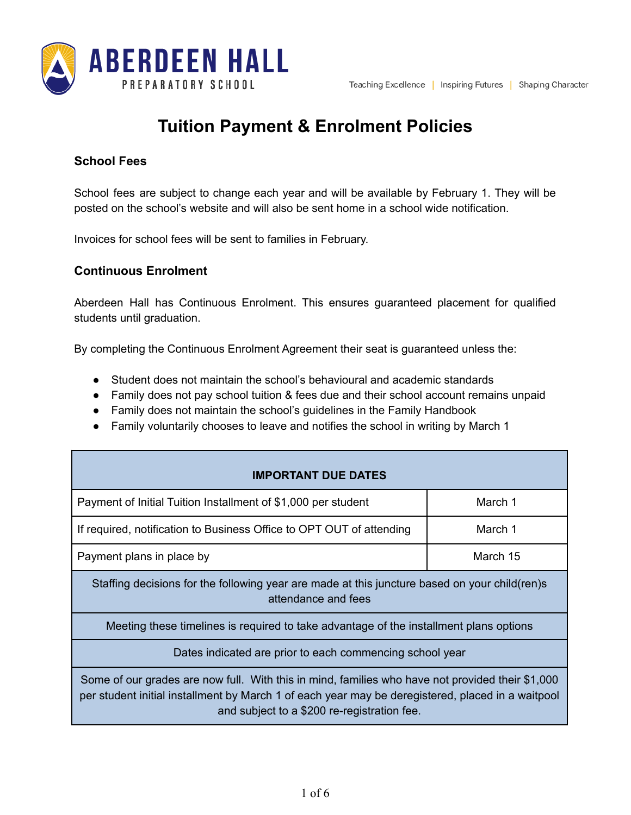

# **Tuition Payment & Enrolment Policies**

# **School Fees**

School fees are subject to change each year and will be available by February 1. They will be posted on the school's website and will also be sent home in a school wide notification.

Invoices for school fees will be sent to families in February.

# **Continuous Enrolment**

Aberdeen Hall has Continuous Enrolment. This ensures guaranteed placement for qualified students until graduation.

By completing the Continuous Enrolment Agreement their seat is guaranteed unless the:

- Student does not maintain the school's behavioural and academic standards
- Family does not pay school tuition & fees due and their school account remains unpaid
- Family does not maintain the school's guidelines in the Family Handbook
- Family voluntarily chooses to leave and notifies the school in writing by March 1

| <b>IMPORTANT DUE DATES</b>                                                                                                                                                                                                                           |          |  |
|------------------------------------------------------------------------------------------------------------------------------------------------------------------------------------------------------------------------------------------------------|----------|--|
| Payment of Initial Tuition Installment of \$1,000 per student                                                                                                                                                                                        | March 1  |  |
| If required, notification to Business Office to OPT OUT of attending                                                                                                                                                                                 | March 1  |  |
| Payment plans in place by                                                                                                                                                                                                                            | March 15 |  |
| Staffing decisions for the following year are made at this juncture based on your child (ren)s<br>attendance and fees                                                                                                                                |          |  |
| Meeting these timelines is required to take advantage of the installment plans options                                                                                                                                                               |          |  |
| Dates indicated are prior to each commencing school year                                                                                                                                                                                             |          |  |
| Some of our grades are now full. With this in mind, families who have not provided their \$1,000<br>per student initial installment by March 1 of each year may be deregistered, placed in a waitpool<br>and subject to a \$200 re-registration fee. |          |  |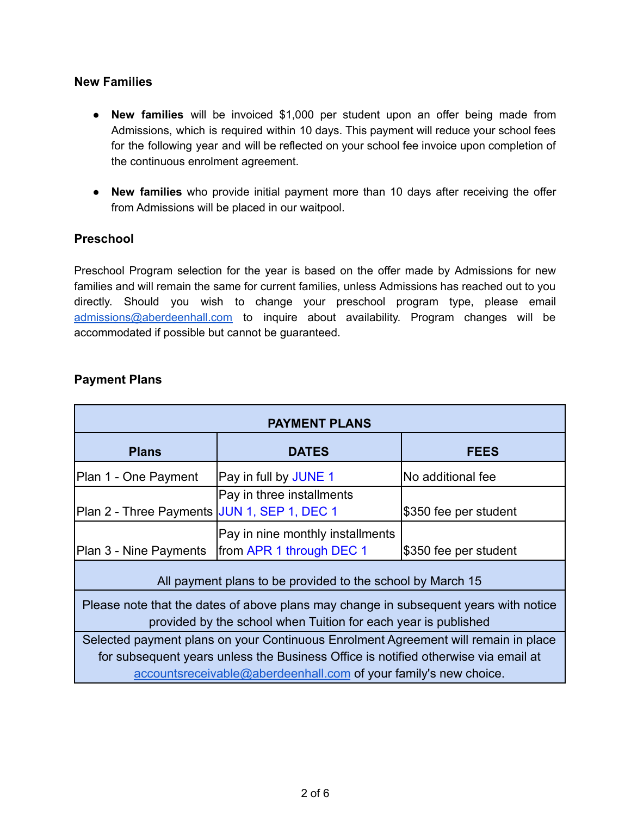#### **New Families**

- **New families** will be invoiced \$1,000 per student upon an offer being made from Admissions, which is required within 10 days. This payment will reduce your school fees for the following year and will be reflected on your school fee invoice upon completion of the continuous enrolment agreement.
- **New families** who provide initial payment more than 10 days after receiving the offer from Admissions will be placed in our waitpool.

#### **Preschool**

Preschool Program selection for the year is based on the offer made by Admissions for new families and will remain the same for current families, unless Admissions has reached out to you directly. Should you wish to change your preschool program type, please email [admissions@aberdeenhall.com](mailto:admissions@aberdeenhall.com) to inquire about availability. Program changes will be accommodated if possible but cannot be guaranteed.

| <b>PAYMENT PLANS</b>                                                                                                                                   |                                  |                       |  |  |
|--------------------------------------------------------------------------------------------------------------------------------------------------------|----------------------------------|-----------------------|--|--|
| <b>Plans</b>                                                                                                                                           | <b>DATES</b>                     | <b>FEES</b>           |  |  |
| Plan 1 - One Payment                                                                                                                                   | Pay in full by JUNE 1            | No additional fee     |  |  |
|                                                                                                                                                        | Pay in three installments        |                       |  |  |
| Plan 2 - Three Payments JJUN 1, SEP 1, DEC 1                                                                                                           |                                  | \$350 fee per student |  |  |
|                                                                                                                                                        | Pay in nine monthly installments |                       |  |  |
| Plan 3 - Nine Payments                                                                                                                                 | from APR 1 through DEC 1         | \$350 fee per student |  |  |
| All payment plans to be provided to the school by March 15                                                                                             |                                  |                       |  |  |
| Please note that the dates of above plans may change in subsequent years with notice<br>provided by the school when Tuition for each year is published |                                  |                       |  |  |
| Selected payment plans on your Continuous Enrolment Agreement will remain in place                                                                     |                                  |                       |  |  |
| for subsequent years unless the Business Office is notified otherwise via email at                                                                     |                                  |                       |  |  |
| accountsreceivable@aberdeenhall.com of your family's new choice.                                                                                       |                                  |                       |  |  |

#### **Payment Plans**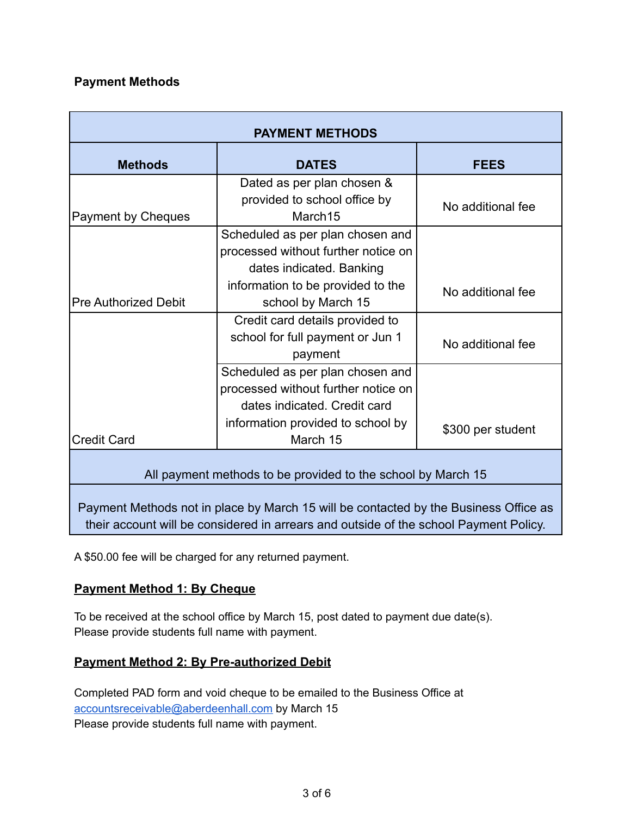# **Payment Methods**

| <b>PAYMENT METHODS</b>                                                                                                                                                        |                                                                                                         |                   |  |
|-------------------------------------------------------------------------------------------------------------------------------------------------------------------------------|---------------------------------------------------------------------------------------------------------|-------------------|--|
| <b>Methods</b>                                                                                                                                                                | <b>DATES</b>                                                                                            | <b>FEES</b>       |  |
| <b>Payment by Cheques</b>                                                                                                                                                     | Dated as per plan chosen &<br>provided to school office by<br>March15                                   | No additional fee |  |
|                                                                                                                                                                               | Scheduled as per plan chosen and<br>processed without further notice on<br>dates indicated. Banking     |                   |  |
| <b>Pre Authorized Debit</b>                                                                                                                                                   | information to be provided to the<br>school by March 15                                                 | No additional fee |  |
|                                                                                                                                                                               | Credit card details provided to<br>school for full payment or Jun 1<br>payment                          | No additional fee |  |
|                                                                                                                                                                               | Scheduled as per plan chosen and<br>processed without further notice on<br>dates indicated. Credit card |                   |  |
| <b>Credit Card</b>                                                                                                                                                            | information provided to school by<br>March 15                                                           | \$300 per student |  |
| All payment methods to be provided to the school by March 15                                                                                                                  |                                                                                                         |                   |  |
| Payment Methods not in place by March 15 will be contacted by the Business Office as<br>their account will be considered in arrears and outside of the school Payment Policy. |                                                                                                         |                   |  |

A \$50.00 fee will be charged for any returned payment.

# **Payment Method 1: By Cheque**

To be received at the school office by March 15, post dated to payment due date(s). Please provide students full name with payment.

# **Payment Method 2: By Pre-authorized Debit**

Completed PAD form and void cheque to be emailed to the Business Office at [accountsreceivable@aberdeenhall.com](mailto:accountsreceivable@aberdeenhall.com) by March 15 Please provide students full name with payment.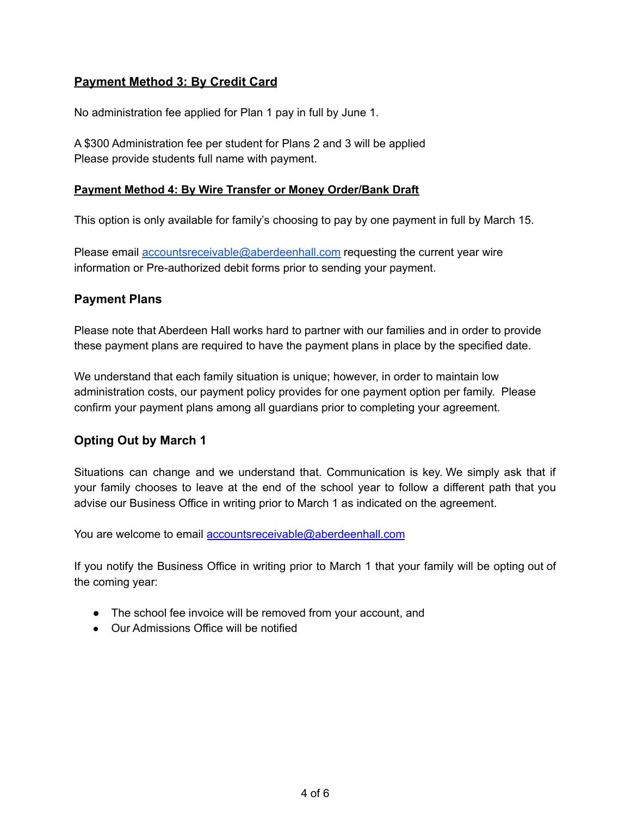# **Payment Method 3: By Credit Card**

No administration fee applied for Plan 1 pay in full by June 1.

A \$300 Administration fee per student for Plans 2 and 3 will be applied Please provide students full name with payment.

#### **Payment Method 4: By Wire Transfer or Money Order/Bank Draft**

This option is only available for family's choosing to pay by one payment in full by March 15.

Please email [accountsreceivable@aberdeenhall.com](mailto:accountsreceivable@aberdeenhall.com) requesting the current year wire information or Pre-authorized debit forms prior to sending your payment.

#### **Payment Plans**

Please note that Aberdeen Hall works hard to partner with our families and in order to provide these payment plans are required to have the payment plans in place by the specified date.

We understand that each family situation is unique; however, in order to maintain low administration costs, our payment policy provides for one payment option per family. Please confirm your payment plans among all guardians prior to completing your agreement.

# **Opting Out by March 1**

Situations can change and we understand that. Communication is key. We simply ask that if your family chooses to leave at the end of the school year to follow a different path that you advise our Business Office in writing prior to March 1 as indicated on the agreement.

You are welcome to email [accountsreceivable@aberdeenhall.com](mailto:accountsreceivable@aberdeenhall.com)

If you notify the Business Office in writing prior to March 1 that your family will be opting out of the coming year:

- The school fee invoice will be removed from your account, and
- Our Admissions Office will be notified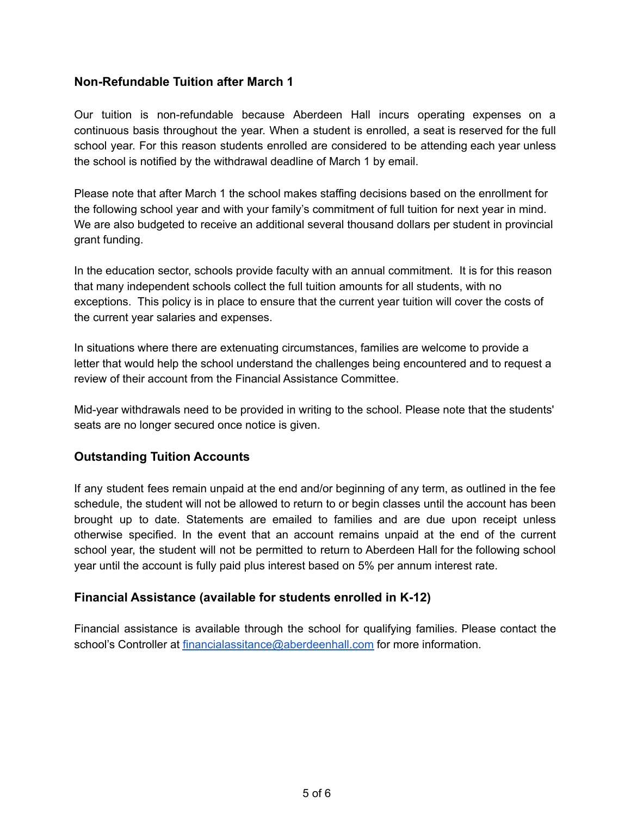## **Non-Refundable Tuition after March 1**

Our tuition is non-refundable because Aberdeen Hall incurs operating expenses on a continuous basis throughout the year. When a student is enrolled, a seat is reserved for the full school year. For this reason students enrolled are considered to be attending each year unless the school is notified by the withdrawal deadline of March 1 by email.

Please note that after March 1 the school makes staffing decisions based on the enrollment for the following school year and with your family's commitment of full tuition for next year in mind. We are also budgeted to receive an additional several thousand dollars per student in provincial grant funding.

In the education sector, schools provide faculty with an annual commitment. It is for this reason that many independent schools collect the full tuition amounts for all students, with no exceptions. This policy is in place to ensure that the current year tuition will cover the costs of the current year salaries and expenses.

In situations where there are extenuating circumstances, families are welcome to provide a letter that would help the school understand the challenges being encountered and to request a review of their account from the Financial Assistance Committee.

Mid-year withdrawals need to be provided in writing to the school. Please note that the students' seats are no longer secured once notice is given.

#### **Outstanding Tuition Accounts**

If any student fees remain unpaid at the end and/or beginning of any term, as outlined in the fee schedule, the student will not be allowed to return to or begin classes until the account has been brought up to date. Statements are emailed to families and are due upon receipt unless otherwise specified. In the event that an account remains unpaid at the end of the current school year, the student will not be permitted to return to Aberdeen Hall for the following school year until the account is fully paid plus interest based on 5% per annum interest rate.

#### **Financial Assistance (available for students enrolled in K-12)**

Financial assistance is available through the school for qualifying families. Please contact the school's Controller at [financialassitance@aberdeenhall.com](mailto:financialassitance@aberdeenhall.com) for more information.